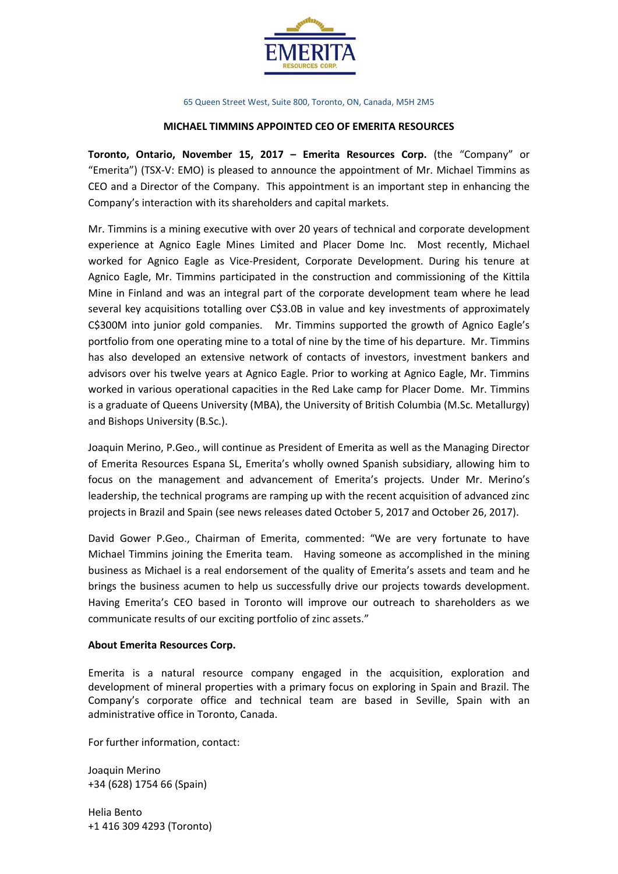

65 Queen Street West, Suite 800, Toronto, ON, Canada, M5H 2M5

## **MICHAEL TIMMINS APPOINTED CEO OF EMERITA RESOURCES**

**Toronto, Ontario, November 15, 2017 – Emerita Resources Corp.** (the "Company" or "Emerita") (TSX-V: EMO) is pleased to announce the appointment of Mr. Michael Timmins as CEO and a Director of the Company. This appointment is an important step in enhancing the Company's interaction with its shareholders and capital markets.

Mr. Timmins is a mining executive with over 20 years of technical and corporate development experience at Agnico Eagle Mines Limited and Placer Dome Inc. Most recently, Michael worked for Agnico Eagle as Vice-President, Corporate Development. During his tenure at Agnico Eagle, Mr. Timmins participated in the construction and commissioning of the Kittila Mine in Finland and was an integral part of the corporate development team where he lead several key acquisitions totalling over C\$3.0B in value and key investments of approximately C\$300M into junior gold companies. Mr. Timmins supported the growth of Agnico Eagle's portfolio from one operating mine to a total of nine by the time of his departure. Mr. Timmins has also developed an extensive network of contacts of investors, investment bankers and advisors over his twelve years at Agnico Eagle. Prior to working at Agnico Eagle, Mr. Timmins worked in various operational capacities in the Red Lake camp for Placer Dome. Mr. Timmins is a graduate of Queens University (MBA), the University of British Columbia (M.Sc. Metallurgy) and Bishops University (B.Sc.).

Joaquin Merino, P.Geo., will continue as President of Emerita as well as the Managing Director of Emerita Resources Espana SL, Emerita's wholly owned Spanish subsidiary, allowing him to focus on the management and advancement of Emerita's projects. Under Mr. Merino's leadership, the technical programs are ramping up with the recent acquisition of advanced zinc projects in Brazil and Spain (see news releases dated October 5, 2017 and October 26, 2017).

David Gower P.Geo., Chairman of Emerita, commented: "We are very fortunate to have Michael Timmins joining the Emerita team. Having someone as accomplished in the mining business as Michael is a real endorsement of the quality of Emerita's assets and team and he brings the business acumen to help us successfully drive our projects towards development. Having Emerita's CEO based in Toronto will improve our outreach to shareholders as we communicate results of our exciting portfolio of zinc assets."

## **About Emerita Resources Corp.**

Emerita is a natural resource company engaged in the acquisition, exploration and development of mineral properties with a primary focus on exploring in Spain and Brazil. The Company's corporate office and technical team are based in Seville, Spain with an administrative office in Toronto, Canada.

For further information, contact:

Joaquin Merino +34 (628) 1754 66 (Spain)

Helia Bento +1 416 309 4293 (Toronto)